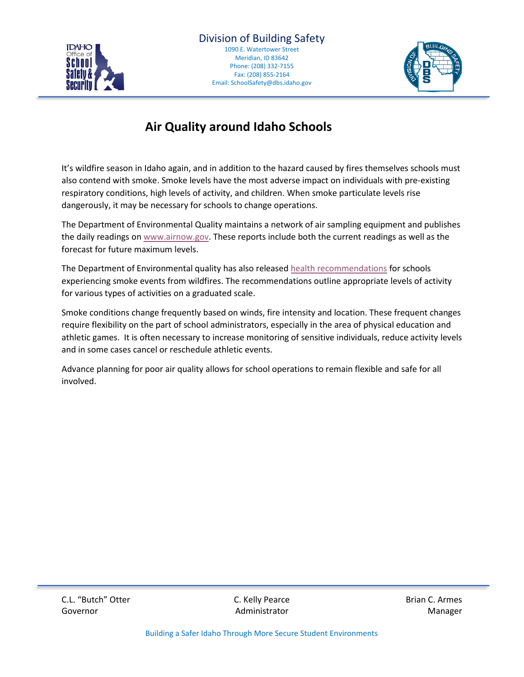



## **Air Quality around Idaho Schools**

It's wildfire season in Idaho again, and in addition to the hazard caused by fires themselves schools must also contend with smoke. Smoke levels have the most adverse impact on individuals with pre-existing respiratory conditions, high levels of activity, and children. When smoke particulate levels rise dangerously, it may be necessary for schools to change operations.

The Department of Environmental Quality maintains a network of air sampling equipment and publishes the daily readings o[n www.airnow.gov.](http://www.airnow.gov/) These reports include both the current readings as well as the forecast for future maximum levels.

The Department of Environmental quality has also release[d health recommendations](https://schoolsafety.dbs.idaho.gov/repository/guides/Air_Quality_Recommendations_for_Schools.pdf) for schools experiencing smoke events from wildfires. The recommendations outline appropriate levels of activity for various types of activities on a graduated scale.

Smoke conditions change frequently based on winds, fire intensity and location. These frequent changes require flexibility on the part of school administrators, especially in the area of physical education and athletic games. It is often necessary to increase monitoring of sensitive individuals, reduce activity levels and in some cases cancel or reschedule athletic events.

Advance planning for poor air quality allows for school operations to remain flexible and safe for all involved.